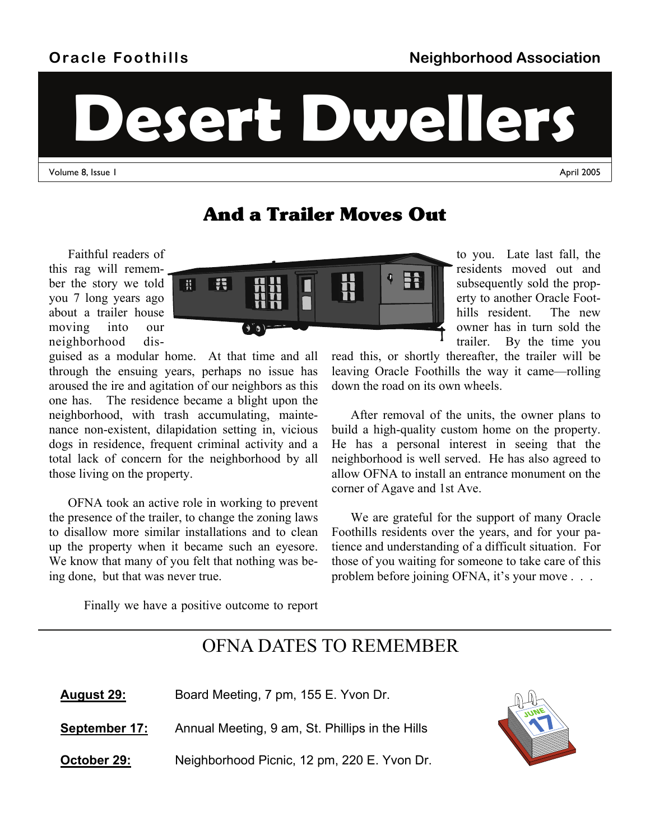## **Oracle Foothills**

to you. Late last fall, the residents moved out and subsequently sold the property to another Oracle Foothills resident. The new owner has in turn sold the

**Desert Dwellers** 

Volume 8, Issue 1 April 2005

## And a Trailer Moves Out

Faithful readers of this rag will remember the story we told you 7 long years ago about a trailer house moving into our neighborhood dis-

guised as a modular home. At that time and all through the ensuing years, perhaps no issue has aroused the ire and agitation of our neighbors as this one has. The residence became a blight upon the neighborhood, with trash accumulating, maintenance non-existent, dilapidation setting in, vicious dogs in residence, frequent criminal activity and a total lack of concern for the neighborhood by all those living on the property.

OFNA took an active role in working to prevent the presence of the trailer, to change the zoning laws to disallow more similar installations and to clean up the property when it became such an eyesore. We know that many of you felt that nothing was being done, but that was never true.

trailer. By the time you read this, or shortly thereafter, the trailer will be leaving Oracle Foothills the way it came—rolling down the road on its own wheels.

After removal of the units, the owner plans to build a high-quality custom home on the property. He has a personal interest in seeing that the neighborhood is well served. He has also agreed to allow OFNA to install an entrance monument on the corner of Agave and 1st Ave.

We are grateful for the support of many Oracle Foothills residents over the years, and for your patience and understanding of a difficult situation. For those of you waiting for someone to take care of this problem before joining OFNA, it's your move . . .

Finally we have a positive outcome to report

## OFNA DATES TO REMEMBER

| <b>August 29:</b> | Board Meeting, 7 pm, 155 E. Yvon Dr.            |
|-------------------|-------------------------------------------------|
| September 17:     | Annual Meeting, 9 am, St. Phillips in the Hills |
| October 29:       | Neighborhood Picnic, 12 pm, 220 E. Yvon Dr.     |



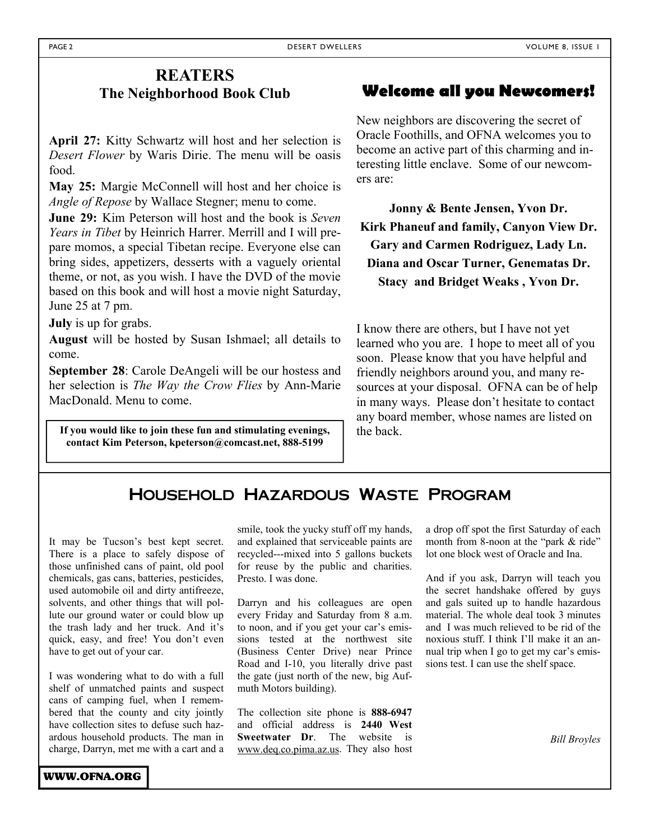### **REATERS The Neighborhood Book Club**

**April 27:** Kitty Schwartz will host and her selection is *Desert Flower* by Waris Dirie. The menu will be oasis food.

**May 25:** Margie McConnell will host and her choice is *Angle of Repose* by Wallace Stegner; menu to come.

**June 29:** Kim Peterson will host and the book is *Seven Years in Tibet* by Heinrich Harrer. Merrill and I will prepare momos, a special Tibetan recipe. Everyone else can bring sides, appetizers, desserts with a vaguely oriental theme, or not, as you wish. I have the DVD of the movie based on this book and will host a movie night Saturday, June 25 at 7 pm.

**July** is up for grabs.

**August** will be hosted by Susan Ishmael; all details to come.

**September 28**: Carole DeAngeli will be our hostess and her selection is *The Way the Crow Flies* by Ann-Marie MacDonald. Menu to come.

**If you would like to join these fun and stimulating evenings, contact Kim Peterson, kpeterson@comcast.net, 888-5199** 

### **Welcome all you Newcomers!**

New neighbors are discovering the secret of Oracle Foothills, and OFNA welcomes you to become an active part of this charming and interesting little enclave. Some of our newcomers are:

**Jonny & Bente Jensen, Yvon Dr. Kirk Phaneuf and family, Canyon View Dr. Gary and Carmen Rodriguez, Lady Ln. Diana and Oscar Turner, Genematas Dr. Stacy and Bridget Weaks , Yvon Dr.** 

I know there are others, but I have not yet learned who you are. I hope to meet all of you soon. Please know that you have helpful and friendly neighbors around you, and many resources at your disposal. OFNA can be of help in many ways. Please don't hesitate to contact any board member, whose names are listed on the back.

### Household Hazardous Waste Program

It may be Tucson's best kept secret. There is a place to safely dispose of those unfinished cans of paint, old pool chemicals, gas cans, batteries, pesticides, used automobile oil and dirty antifreeze, solvents, and other things that will pollute our ground water or could blow up the trash lady and her truck. And it's quick, easy, and free! You don't even have to get out of your car.

I was wondering what to do with a full shelf of unmatched paints and suspect cans of camping fuel, when I remembered that the county and city jointly have collection sites to defuse such hazardous household products. The man in charge, Darryn, met me with a cart and a

smile, took the yucky stuff off my hands, and explained that serviceable paints are recycled---mixed into 5 gallons buckets for reuse by the public and charities. Presto. I was done.

Darryn and his colleagues are open every Friday and Saturday from 8 a.m. to noon, and if you get your car's emissions tested at the northwest site (Business Center Drive) near Prince Road and I-10, you literally drive past the gate (just north of the new, big Aufmuth Motors building).

The collection site phone is **888-6947**  and official address is **2440 West Sweetwater Dr**. The website is www.deq.co.pima.az.us. They also host

a drop off spot the first Saturday of each month from 8-noon at the "park & ride" lot one block west of Oracle and Ina.

And if you ask, Darryn will teach you the secret handshake offered by guys and gals suited up to handle hazardous material. The whole deal took 3 minutes and I was much relieved to be rid of the noxious stuff. I think I'll make it an annual trip when I go to get my car's emissions test. I can use the shelf space.

*Bill Broyles*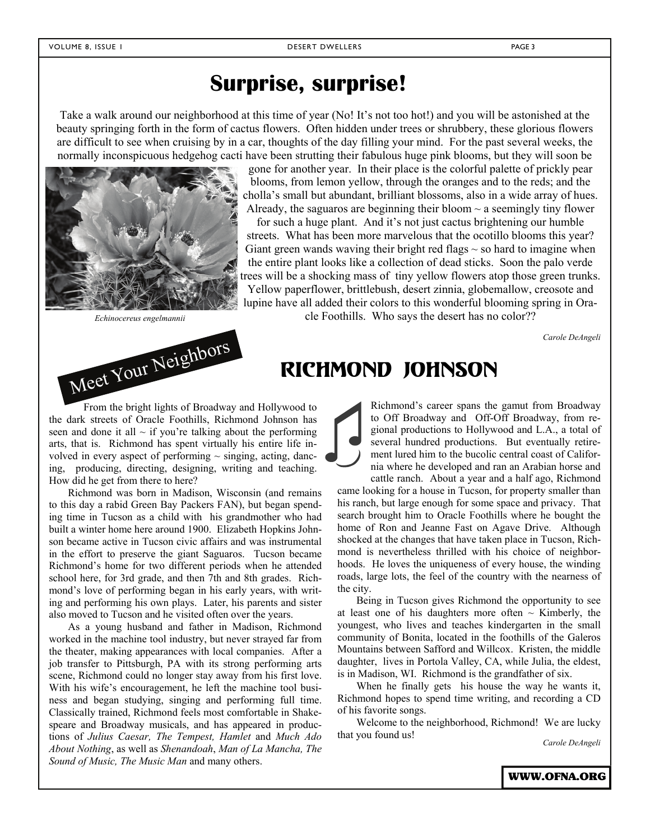## **Surprise, surprise!**

Take a walk around our neighborhood at this time of year (No! It's not too hot!) and you will be astonished at the beauty springing forth in the form of cactus flowers. Often hidden under trees or shrubbery, these glorious flowers are difficult to see when cruising by in a car, thoughts of the day filling your mind. For the past several weeks, the normally inconspicuous hedgehog cacti have been strutting their fabulous huge pink blooms, but they will soon be





gone for another year. In their place is the colorful palette of prickly pear blooms, from lemon yellow, through the oranges and to the reds; and the cholla's small but abundant, brilliant blossoms, also in a wide array of hues. Already, the saguaros are beginning their bloom  $\sim$  a seemingly tiny flower

for such a huge plant. And it's not just cactus brightening our humble streets. What has been more marvelous that the ocotillo blooms this year? Giant green wands waving their bright red flags  $\sim$  so hard to imagine when the entire plant looks like a collection of dead sticks. Soon the palo verde trees will be a shocking mass of tiny yellow flowers atop those green trunks. Yellow paperflower, brittlebush, desert zinnia, globemallow, creosote and lupine have all added their colors to this wonderful blooming spring in Ora-

*Echinocereus engelmannii* cle Foothills. Who says the desert has no color??

*Carole DeAngeli* 

From the bright lights of Broadway and Hollywood to the dark streets of Oracle Foothills, Richmond Johnson has seen and done it all  $\sim$  if you're talking about the performing arts, that is. Richmond has spent virtually his entire life involved in every aspect of performing  $\sim$  singing, acting, dancing, producing, directing, designing, writing and teaching. How did he get from there to here?

Richmond was born in Madison, Wisconsin (and remains to this day a rabid Green Bay Packers FAN), but began spending time in Tucson as a child with his grandmother who had built a winter home here around 1900. Elizabeth Hopkins Johnson became active in Tucson civic affairs and was instrumental in the effort to preserve the giant Saguaros. Tucson became Richmond's home for two different periods when he attended school here, for 3rd grade, and then 7th and 8th grades. Richmond's love of performing began in his early years, with writing and performing his own plays. Later, his parents and sister also moved to Tucson and he visited often over the years.

As a young husband and father in Madison, Richmond worked in the machine tool industry, but never strayed far from the theater, making appearances with local companies. After a job transfer to Pittsburgh, PA with its strong performing arts scene, Richmond could no longer stay away from his first love. With his wife's encouragement, he left the machine tool business and began studying, singing and performing full time. Classically trained, Richmond feels most comfortable in Shakespeare and Broadway musicals, and has appeared in productions of *Julius Caesar, The Tempest, Hamlet* and *Much Ado About Nothing*, as well as *Shenandoah*, *Man of La Mancha, The Sound of Music, The Music Man* and many others.

Richmond's career spans the gamut from Broadway to Off Broadway and Off-Off Broadway, from regional productions to Hollywood and L.A., a total of several hundred productions. But eventually retirement lured him to the bucolic central coast of California where he developed and ran an Arabian horse and cattle ranch. About a year and a half ago, Richmond

came looking for a house in Tucson, for property smaller than his ranch, but large enough for some space and privacy. That search brought him to Oracle Foothills where he bought the home of Ron and Jeanne Fast on Agave Drive. Although shocked at the changes that have taken place in Tucson, Richmond is nevertheless thrilled with his choice of neighborhoods. He loves the uniqueness of every house, the winding roads, large lots, the feel of the country with the nearness of the city.

Being in Tucson gives Richmond the opportunity to see at least one of his daughters more often  $\sim$  Kimberly, the youngest, who lives and teaches kindergarten in the small community of Bonita, located in the foothills of the Galeros Mountains between Safford and Willcox. Kristen, the middle daughter, lives in Portola Valley, CA, while Julia, the eldest, is in Madison, WI. Richmond is the grandfather of six.

When he finally gets his house the way he wants it, Richmond hopes to spend time writing, and recording a CD of his favorite songs.

Welcome to the neighborhood, Richmond! We are lucky that you found us! *Carole DeAngeli*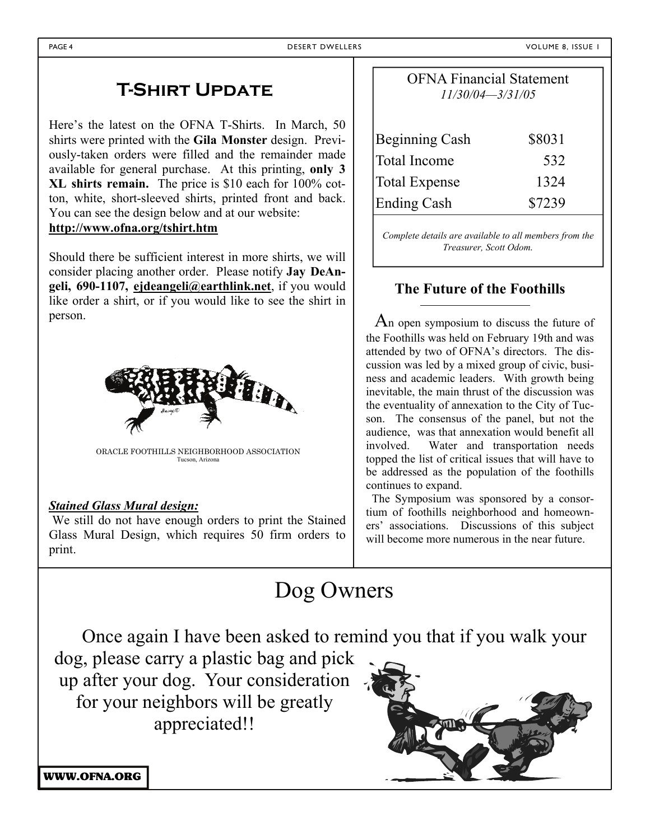## **T-Shirt Update**

Here's the latest on the OFNA T-Shirts. In March, 50 shirts were printed with the **Gila Monster** design. Previously-taken orders were filled and the remainder made available for general purchase. At this printing, **only 3 XL shirts remain.** The price is \$10 each for 100% cotton, white, short-sleeved shirts, printed front and back. You can see the design below and at our website: **http://www.ofna.org/tshirt.htm**

Should there be sufficient interest in more shirts, we will consider placing another order. Please notify **Jay DeAngeli, 690-1107, ejdeangeli@earthlink.net**, if you would like order a shirt, or if you would like to see the shirt in person.



ORACLE FOOTHILLS NEIGHBORHOOD ASSOCIATION Tucson, Arizona

### *Stained Glass Mural design:*

 We still do not have enough orders to print the Stained Glass Mural Design, which requires 50 firm orders to print.

| <b>OFNA Financial Statement</b><br>$11/30/04 - 3/31/05$ |        |  |  |
|---------------------------------------------------------|--------|--|--|
| <b>Beginning Cash</b>                                   | \$8031 |  |  |
| <b>Total Income</b>                                     | 532    |  |  |
| <b>Total Expense</b>                                    | 1324   |  |  |
| <b>Ending Cash</b>                                      | \$7239 |  |  |
|                                                         |        |  |  |

*Complete details are available to all members from the Treasurer, Scott Odom.*

### **The Future of the Foothills**

 An open symposium to discuss the future of the Foothills was held on February 19th and was attended by two of OFNA's directors. The discussion was led by a mixed group of civic, business and academic leaders. With growth being inevitable, the main thrust of the discussion was the eventuality of annexation to the City of Tucson. The consensus of the panel, but not the audience, was that annexation would benefit all involved. Water and transportation needs topped the list of critical issues that will have to be addressed as the population of the foothills continues to expand.

 The Symposium was sponsored by a consortium of foothills neighborhood and homeowners' associations. Discussions of this subject will become more numerous in the near future.

# Dog Owners

Once again I have been asked to remind you that if you walk your dog, please carry a plastic bag and pick

up after your dog. Your consideration for your neighbors will be greatly appreciated!!



WWW.OFNA.ORG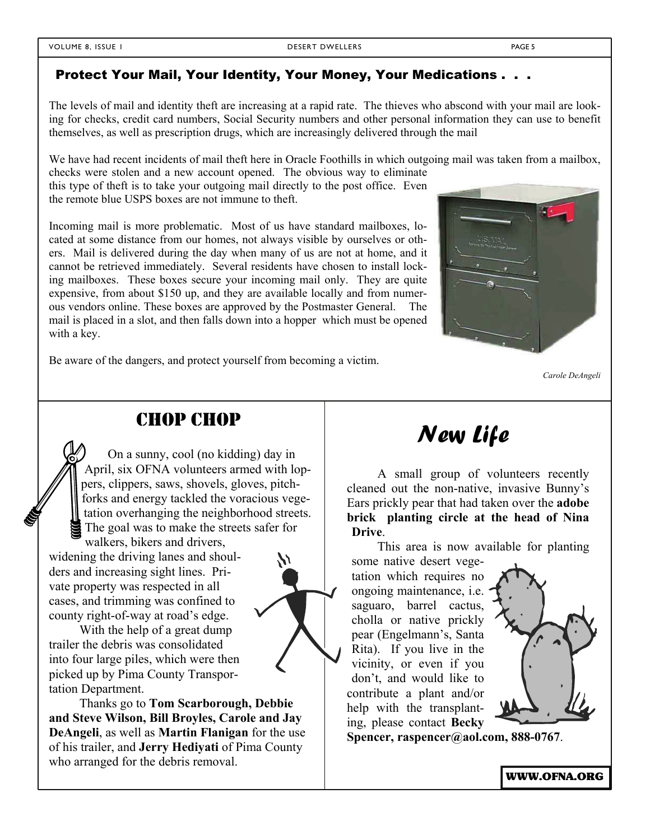The levels of mail and identity theft are increasing at a rapid rate. The thieves who abscond with your mail are looking for checks, credit card numbers, Social Security numbers and other personal information they can use to benefit themselves, as well as prescription drugs, which are increasingly delivered through the mail

We have had recent incidents of mail theft here in Oracle Foothills in which outgoing mail was taken from a mailbox, checks were stolen and a new account opened. The obvious way to eliminate

this type of theft is to take your outgoing mail directly to the post office. Even the remote blue USPS boxes are not immune to theft.

Incoming mail is more problematic. Most of us have standard mailboxes, located at some distance from our homes, not always visible by ourselves or others. Mail is delivered during the day when many of us are not at home, and it cannot be retrieved immediately. Several residents have chosen to install locking mailboxes. These boxes secure your incoming mail only. They are quite expensive, from about \$150 up, and they are available locally and from numerous vendors online. These boxes are approved by the Postmaster General. The mail is placed in a slot, and then falls down into a hopper which must be opened with a key.



Be aware of the dangers, and protect yourself from becoming a victim.

*Carole DeAngeli* 

## CHOP CHOP

 On a sunny, cool (no kidding) day in April, six OFNA volunteers armed with loppers, clippers, saws, shovels, gloves, pitchforks and energy tackled the voracious vegetation overhanging the neighborhood streets. The goal was to make the streets safer for walkers, bikers and drivers,

widening the driving lanes and shoulders and increasing sight lines. Private property was respected in all cases, and trimming was confined to county right-of-way at road's edge.

With the help of a great dump trailer the debris was consolidated into four large piles, which were then picked up by Pima County Transportation Department.

Thanks go to **Tom Scarborough, Debbie and Steve Wilson, Bill Broyles, Carole and Jay DeAngeli**, as well as **Martin Flanigan** for the use of his trailer, and **Jerry Hediyati** of Pima County who arranged for the debris removal.



A small group of volunteers recently cleaned out the non-native, invasive Bunny's Ears prickly pear that had taken over the **adobe brick planting circle at the head of Nina Drive**.

This area is now available for planting

some native desert vegetation which requires no ongoing maintenance, i.e. saguaro, barrel cactus, cholla or native prickly pear (Engelmann's, Santa Rita). If you live in the vicinity, or even if you don't, and would like to contribute a plant and/or help with the transplanting, please contact **Becky** 



**Spencer, raspencer@aol.com, 888-0767**.